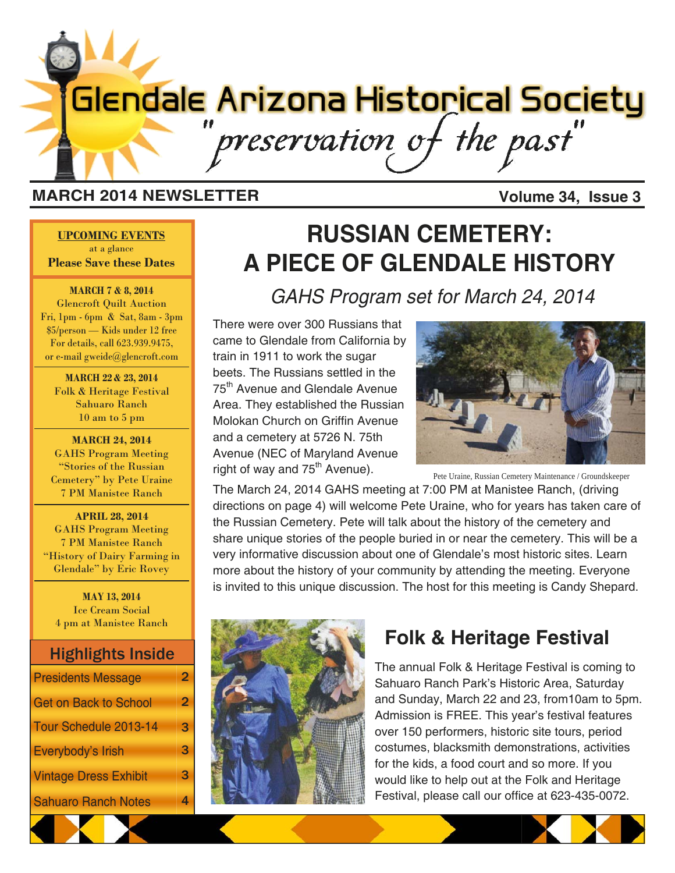# **Glendale Arizona Historical Society** preservation of the past"

#### **MARCH 2014 NEWSLETTER Volume 34, Issue 3**

**UPCOMING EVENTS** at a glance **Please Save these Dates** 

**MARCH 7 & 8, 2014**  Glencroft Quilt Auction Fri, 1pm - 6pm & Sat, 8am - 3pm \$5/person — Kids under 12 free For details, call 623.939.9475, or e-mail gweide@glencroft.com

**MARCH 22 & 23, 2014**  Folk & Heritage Festival Sahuaro Ranch 10 am to 5 pm

**MARCH 24, 2014**  GAHS Program Meeting "Stories of the Russian Cemetery" by Pete Uraine 7 PM Manistee Ranch

**APRIL 28, 2014**  GAHS Program Meeting 7 PM Manistee Ranch "History of Dairy Farming in Glendale" by Eric Rovey

**MAY 13, 2014**  Ice Cream Social 4 pm at Manistee Ranch

#### Highlights Inside

| <b>Presidents Message</b>    | 2 |
|------------------------------|---|
| <b>Get on Back to School</b> | 2 |
| Tour Schedule 2013-14        | 3 |
| Everybody's Irish            | 3 |
| <b>Vintage Dress Exhibit</b> | 3 |
| <b>Sahuaro Ranch Notes</b>   |   |

## **RUSSIAN CEMETERY: A PIECE OF GLENDALE HISTORY**

*GAHS Program set for March 24, 2014* 

There were over 300 Russians that came to Glendale from California by train in 1911 to work the sugar beets. The Russians settled in the 75<sup>th</sup> Avenue and Glendale Avenue Area. They established the Russian Molokan Church on Griffin Avenue and a cemetery at 5726 N. 75th Avenue (NEC of Maryland Avenue right of way and  $75<sup>th</sup>$  Avenue).



Pete Uraine, Russian Cemetery Maintenance / Groundskeeper

The March 24, 2014 GAHS meeting at 7:00 PM at Manistee Ranch, (driving directions on page 4) will welcome Pete Uraine, who for years has taken care of the Russian Cemetery. Pete will talk about the history of the cemetery and share unique stories of the people buried in or near the cemetery. This will be a very informative discussion about one of Glendale's most historic sites. Learn more about the history of your community by attending the meeting. Everyone is invited to this unique discussion. The host for this meeting is Candy Shepard.



### **Folk & Heritage Festival**

The annual Folk & Heritage Festival is coming to Sahuaro Ranch Park's Historic Area, Saturday and Sunday, March 22 and 23, from10am to 5pm. Admission is FREE. This year's festival features over 150 performers, historic site tours, period costumes, blacksmith demonstrations, activities for the kids, a food court and so more. If you would like to help out at the Folk and Heritage Festival, please call our office at 623-435-0072.

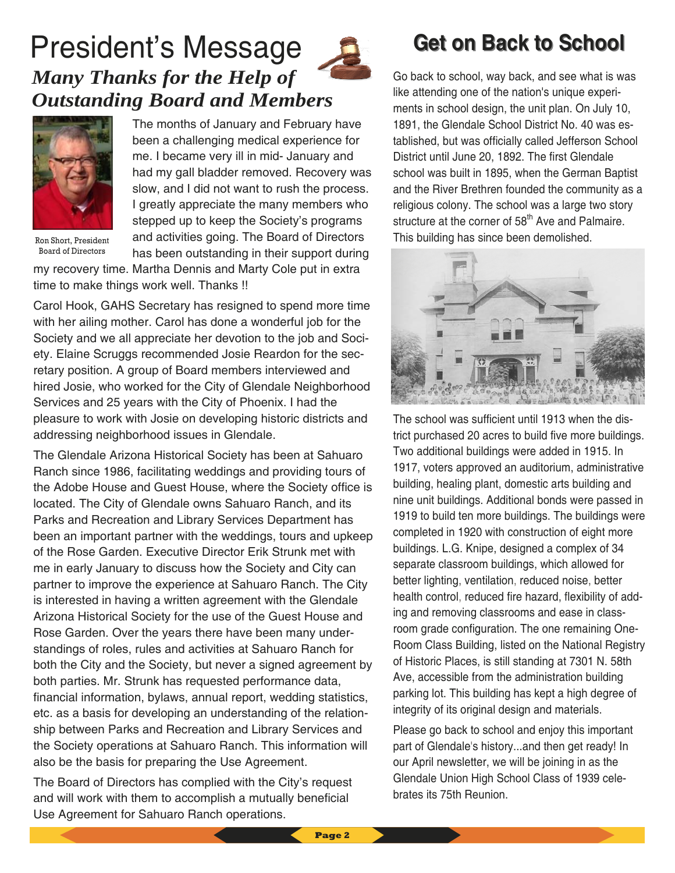## President's Message *Many Thanks for the Help of Outstanding Board and Members*



Ron Short, President Board of Directors

The months of January and February have been a challenging medical experience for me. I became very ill in mid- January and had my gall bladder removed. Recovery was slow, and I did not want to rush the process. I greatly appreciate the many members who stepped up to keep the Society's programs and activities going. The Board of Directors has been outstanding in their support during

my recovery time. Martha Dennis and Marty Cole put in extra time to make things work well. Thanks !!

Carol Hook, GAHS Secretary has resigned to spend more time with her ailing mother. Carol has done a wonderful job for the Society and we all appreciate her devotion to the job and Society. Elaine Scruggs recommended Josie Reardon for the secretary position. A group of Board members interviewed and hired Josie, who worked for the City of Glendale Neighborhood Services and 25 years with the City of Phoenix. I had the pleasure to work with Josie on developing historic districts and addressing neighborhood issues in Glendale.

The Glendale Arizona Historical Society has been at Sahuaro Ranch since 1986, facilitating weddings and providing tours of the Adobe House and Guest House, where the Society office is located. The City of Glendale owns Sahuaro Ranch, and its Parks and Recreation and Library Services Department has been an important partner with the weddings, tours and upkeep of the Rose Garden. Executive Director Erik Strunk met with me in early January to discuss how the Society and City can partner to improve the experience at Sahuaro Ranch. The City is interested in having a written agreement with the Glendale Arizona Historical Society for the use of the Guest House and Rose Garden. Over the years there have been many understandings of roles, rules and activities at Sahuaro Ranch for both the City and the Society, but never a signed agreement by both parties. Mr. Strunk has requested performance data, financial information, bylaws, annual report, wedding statistics, etc. as a basis for developing an understanding of the relationship between Parks and Recreation and Library Services and the Society operations at Sahuaro Ranch. This information will also be the basis for preparing the Use Agreement.

The Board of Directors has complied with the City's request and will work with them to accomplish a mutually beneficial Use Agreement for Sahuaro Ranch operations.

## **Get on Back to School Get on Back to School**

Go back to school, way back, and see what is was like attending one of the nation's unique experiments in school design, the unit plan. On July 10, 1891, the Glendale School District No. 40 was established, but was officially called Jefferson School District until June 20, 1892. The first Glendale school was built in 1895, when the German Baptist and the River Brethren founded the community as a religious colony. The school was a large two story structure at the corner of 58<sup>th</sup> Ave and Palmaire. This building has since been demolished.



The school was sufficient until 1913 when the district purchased 20 acres to build five more buildings. Two additional buildings were added in 1915. In 1917, voters approved an auditorium, administrative building, healing plant, domestic arts building and nine unit buildings. Additional bonds were passed in 1919 to build ten more buildings. The buildings were completed in 1920 with construction of eight more buildings. L.G. Knipe, designed a complex of 34 separate classroom buildings, which allowed for better lighting, ventilation, reduced noise, better health control, reduced fire hazard, flexibility of adding and removing classrooms and ease in classroom grade configuration. The one remaining One-Room Class Building, listed on the National Registry of Historic Places, is still standing at 7301 N. 58th Ave, accessible from the administration building parking lot. This building has kept a high degree of integrity of its original design and materials.

Please go back to school and enjoy this important part of Glendale's history...and then get ready! In our April newsletter, we will be joining in as the Glendale Union High School Class of 1939 celebrates its 75th Reunion.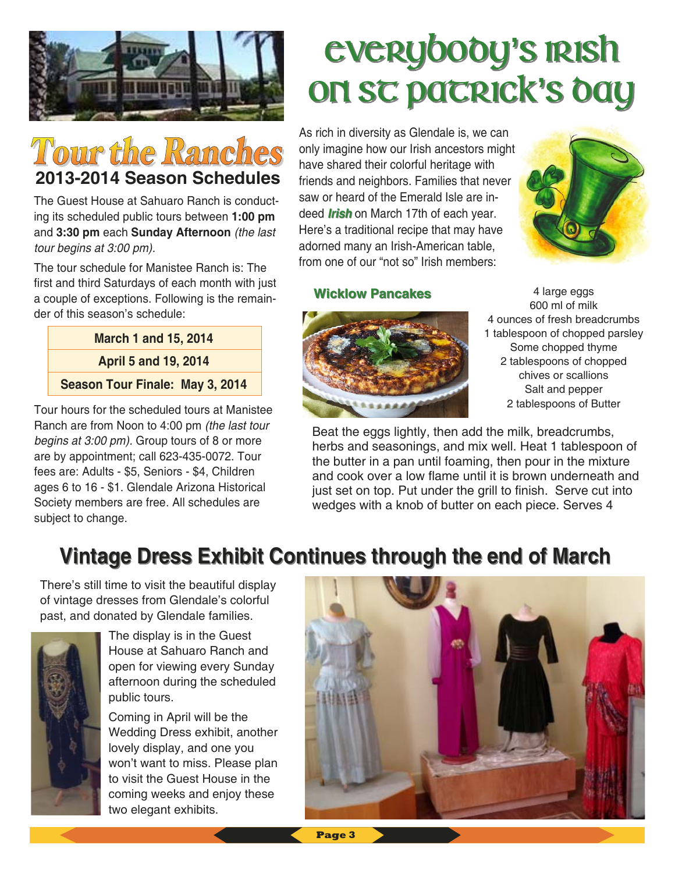

## **Tour the Ranches 2013-2014 Season Schedules**

The Guest House at Sahuaro Ranch is conducting its scheduled public tours between **1:00 pm**  and **3:30 pm** each **Sunday Afternoon** *(the last tour begins at 3:00 pm).* 

The tour schedule for Manistee Ranch is: The first and third Saturdays of each month with just a couple of exceptions. Following is the remainder of this season's schedule:

#### **March 1 and 15, 2014 April 5 and 19, 2014 Season Tour Finale: May 3, 2014**

Tour hours for the scheduled tours at Manistee Ranch are from Noon to 4:00 pm *(the last tour begins at 3:00 pm).* Group tours of 8 or more are by appointment; call 623-435-0072. Tour fees are: Adults - \$5, Seniors - \$4, Children ages 6 to 16 - \$1. Glendale Arizona Historical Society members are free. All schedules are subject to change.

## Everybody Everybody**'**s Irish s Irish on sc pacrick's bay

As rich in diversity as Glendale is, we can only imagine how our Irish ancestors might have shared their colorful heritage with friends and neighbors. Families that never saw or heard of the Emerald Isle are indeed *Irish* on March 17th of each year. Here's a traditional recipe that may have adorned many an Irish-American table, from one of our "not so" Irish members:



#### **Wicklow Pancakes Wicklow Pancakes**



4 large eggs 600 ml of milk 4 ounces of fresh breadcrumbs 1 tablespoon of chopped parsley Some chopped thyme 2 tablespoons of chopped chives or scallions Salt and pepper 2 tablespoons of Butter

Beat the eggs lightly, then add the milk, breadcrumbs, herbs and seasonings, and mix well. Heat 1 tablespoon of the butter in a pan until foaming, then pour in the mixture and cook over a low flame until it is brown underneath and just set on top. Put under the grill to finish. Serve cut into wedges with a knob of butter on each piece. Serves 4

## **Vintage Dress Exhibit Continues through the end of March**

There's still time to visit the beautiful display of vintage dresses from Glendale's colorful past, and donated by Glendale families.



The display is in the Guest House at Sahuaro Ranch and open for viewing every Sunday afternoon during the scheduled public tours.

Coming in April will be the Wedding Dress exhibit, another lovely display, and one you won't want to miss. Please plan to visit the Guest House in the coming weeks and enjoy these two elegant exhibits.